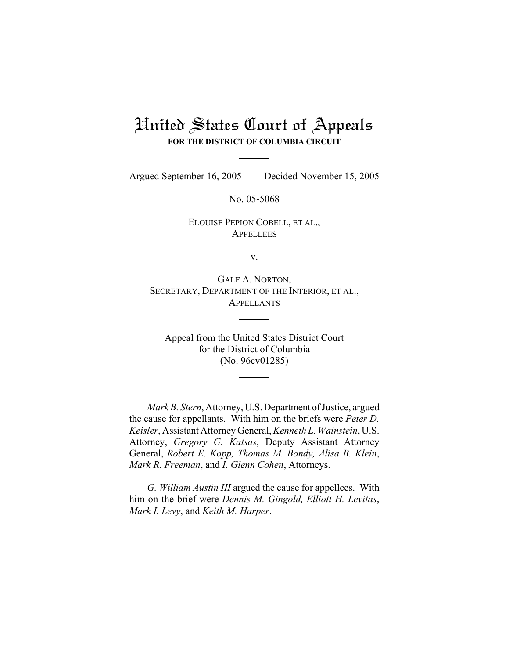## United States Court of Appeals **FOR THE DISTRICT OF COLUMBIA CIRCUIT**

Argued September 16, 2005 Decided November 15, 2005

No. 05-5068

ELOUISE PEPION COBELL, ET AL., **APPELLEES** 

v.

GALE A. NORTON, SECRETARY, DEPARTMENT OF THE INTERIOR, ET AL., APPELLANTS

Appeal from the United States District Court for the District of Columbia (No. 96cv01285)

*Mark B. Stern*, Attorney, U.S. Department of Justice, argued the cause for appellants. With him on the briefs were *Peter D. Keisler*, Assistant Attorney General, *Kenneth L. Wainstein*, U.S. Attorney, *Gregory G. Katsas*, Deputy Assistant Attorney General, *Robert E. Kopp, Thomas M. Bondy, Alisa B. Klein*, *Mark R. Freeman*, and *I. Glenn Cohen*, Attorneys.

*G. William Austin III* argued the cause for appellees. With him on the brief were *Dennis M. Gingold, Elliott H. Levitas*, *Mark I. Levy*, and *Keith M. Harper*.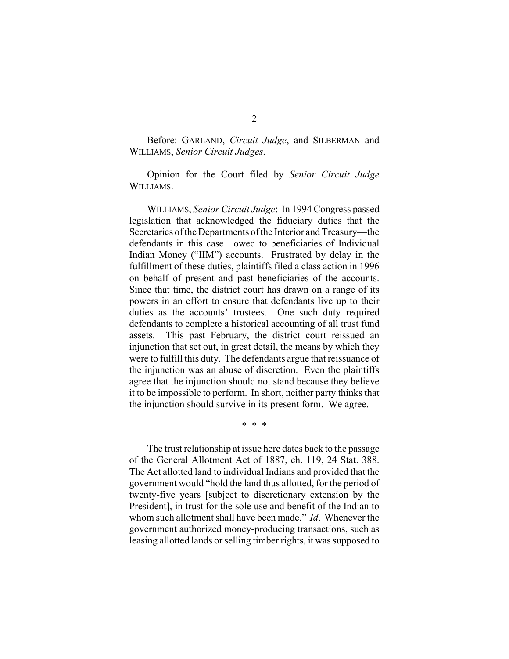Before: GARLAND, *Circuit Judge*, and SILBERMAN and WILLIAMS, *Senior Circuit Judges*.

Opinion for the Court filed by *Senior Circuit Judge* WILLIAMS.

WILLIAMS, *Senior Circuit Judge*: In 1994 Congress passed legislation that acknowledged the fiduciary duties that the Secretaries of the Departments of the Interior and Treasury—the defendants in this case—owed to beneficiaries of Individual Indian Money ("IIM") accounts. Frustrated by delay in the fulfillment of these duties, plaintiffs filed a class action in 1996 on behalf of present and past beneficiaries of the accounts. Since that time, the district court has drawn on a range of its powers in an effort to ensure that defendants live up to their duties as the accounts' trustees. One such duty required defendants to complete a historical accounting of all trust fund assets. This past February, the district court reissued an injunction that set out, in great detail, the means by which they were to fulfill this duty. The defendants argue that reissuance of the injunction was an abuse of discretion. Even the plaintiffs agree that the injunction should not stand because they believe it to be impossible to perform. In short, neither party thinks that the injunction should survive in its present form. We agree.

\* \* \*

The trust relationship at issue here dates back to the passage of the General Allotment Act of 1887, ch. 119, 24 Stat. 388. The Act allotted land to individual Indians and provided that the government would "hold the land thus allotted, for the period of twenty-five years [subject to discretionary extension by the President], in trust for the sole use and benefit of the Indian to whom such allotment shall have been made." *Id*. Whenever the government authorized money-producing transactions, such as leasing allotted lands or selling timber rights, it was supposed to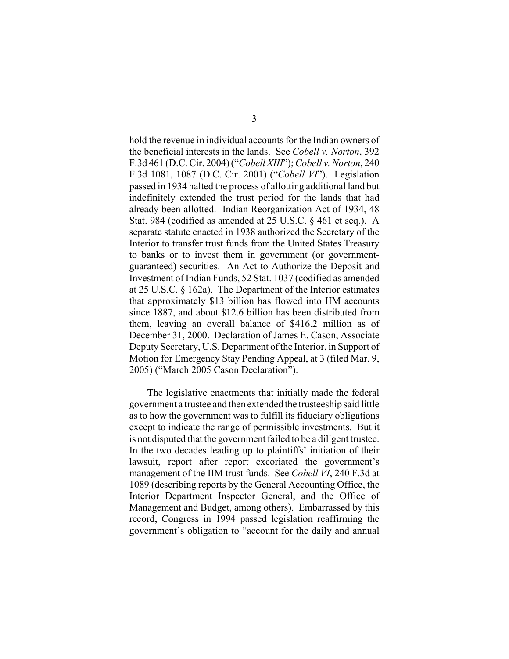hold the revenue in individual accounts for the Indian owners of the beneficial interests in the lands. See *Cobell v. Norton*, 392 F.3d 461 (D.C. Cir. 2004) ("*Cobell XIII*"); *Cobell v. Norton*, 240 F.3d 1081, 1087 (D.C. Cir. 2001) ("*Cobell VI*"). Legislation passed in 1934 halted the process of allotting additional land but indefinitely extended the trust period for the lands that had already been allotted. Indian Reorganization Act of 1934, 48 Stat. 984 (codified as amended at 25 U.S.C. § 461 et seq.). A separate statute enacted in 1938 authorized the Secretary of the Interior to transfer trust funds from the United States Treasury to banks or to invest them in government (or governmentguaranteed) securities. An Act to Authorize the Deposit and Investment of Indian Funds, 52 Stat. 1037 (codified as amended at 25 U.S.C. § 162a). The Department of the Interior estimates that approximately \$13 billion has flowed into IIM accounts since 1887, and about \$12.6 billion has been distributed from them, leaving an overall balance of \$416.2 million as of December 31, 2000. Declaration of James E. Cason, Associate Deputy Secretary, U.S. Department of the Interior, in Support of Motion for Emergency Stay Pending Appeal, at 3 (filed Mar. 9, 2005) ("March 2005 Cason Declaration").

The legislative enactments that initially made the federal government a trustee and then extended the trusteeship said little as to how the government was to fulfill its fiduciary obligations except to indicate the range of permissible investments. But it is not disputed that the government failed to be a diligent trustee. In the two decades leading up to plaintiffs' initiation of their lawsuit, report after report excoriated the government's management of the IIM trust funds. See *Cobell VI*, 240 F.3d at 1089 (describing reports by the General Accounting Office, the Interior Department Inspector General, and the Office of Management and Budget, among others). Embarrassed by this record, Congress in 1994 passed legislation reaffirming the government's obligation to "account for the daily and annual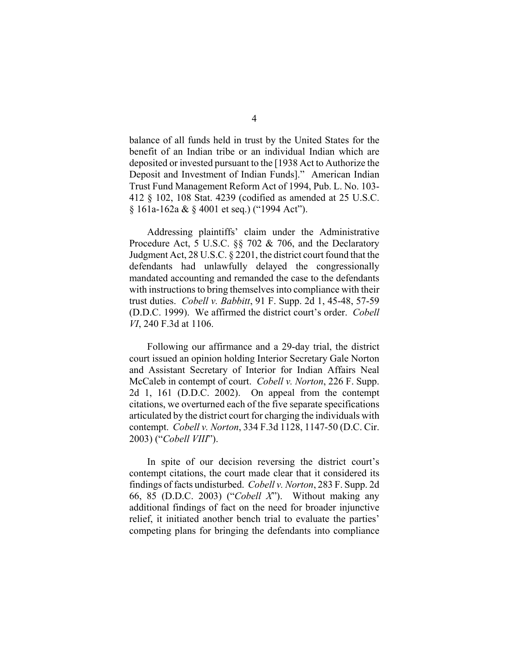balance of all funds held in trust by the United States for the benefit of an Indian tribe or an individual Indian which are deposited or invested pursuant to the [1938 Act to Authorize the Deposit and Investment of Indian Funds]." American Indian Trust Fund Management Reform Act of 1994, Pub. L. No. 103- 412 § 102, 108 Stat. 4239 (codified as amended at 25 U.S.C. § 161a-162a & § 4001 et seq.) ("1994 Act").

Addressing plaintiffs' claim under the Administrative Procedure Act, 5 U.S.C. §§ 702 & 706, and the Declaratory Judgment Act, 28 U.S.C. § 2201, the district court found that the defendants had unlawfully delayed the congressionally mandated accounting and remanded the case to the defendants with instructions to bring themselves into compliance with their trust duties. *Cobell v. Babbitt*, 91 F. Supp. 2d 1, 45-48, 57-59 (D.D.C. 1999). We affirmed the district court's order. *Cobell VI*, 240 F.3d at 1106.

Following our affirmance and a 29-day trial, the district court issued an opinion holding Interior Secretary Gale Norton and Assistant Secretary of Interior for Indian Affairs Neal McCaleb in contempt of court. *Cobell v. Norton*, 226 F. Supp. 2d 1, 161 (D.D.C. 2002). On appeal from the contempt citations, we overturned each of the five separate specifications articulated by the district court for charging the individuals with contempt. *Cobell v. Norton*, 334 F.3d 1128, 1147-50 (D.C. Cir. 2003) ("*Cobell VIII*").

In spite of our decision reversing the district court's contempt citations, the court made clear that it considered its findings of facts undisturbed. *Cobell v. Norton*, 283 F. Supp. 2d 66, 85 (D.D.C. 2003) ("*Cobell X*"). Without making any additional findings of fact on the need for broader injunctive relief, it initiated another bench trial to evaluate the parties' competing plans for bringing the defendants into compliance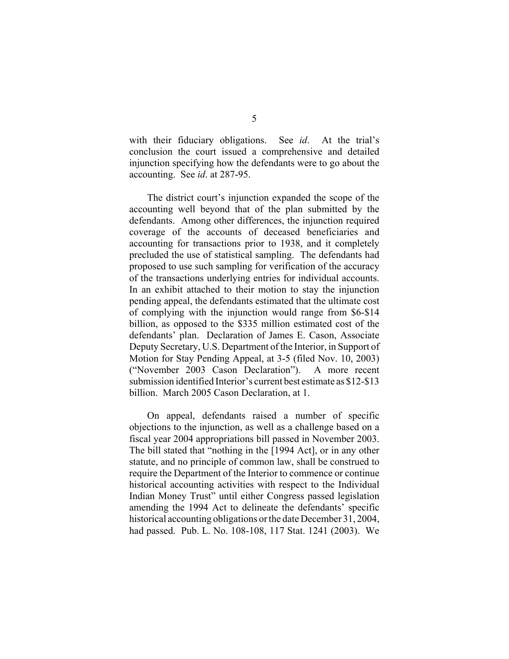with their fiduciary obligations. See *id*. At the trial's conclusion the court issued a comprehensive and detailed injunction specifying how the defendants were to go about the accounting. See *id*. at 287-95.

The district court's injunction expanded the scope of the accounting well beyond that of the plan submitted by the defendants. Among other differences, the injunction required coverage of the accounts of deceased beneficiaries and accounting for transactions prior to 1938, and it completely precluded the use of statistical sampling. The defendants had proposed to use such sampling for verification of the accuracy of the transactions underlying entries for individual accounts. In an exhibit attached to their motion to stay the injunction pending appeal, the defendants estimated that the ultimate cost of complying with the injunction would range from \$6-\$14 billion, as opposed to the \$335 million estimated cost of the defendants' plan. Declaration of James E. Cason, Associate Deputy Secretary, U.S. Department of the Interior, in Support of Motion for Stay Pending Appeal, at 3-5 (filed Nov. 10, 2003) ("November 2003 Cason Declaration"). A more recent submission identified Interior's current best estimate as \$12-\$13 billion. March 2005 Cason Declaration, at 1.

On appeal, defendants raised a number of specific objections to the injunction, as well as a challenge based on a fiscal year 2004 appropriations bill passed in November 2003. The bill stated that "nothing in the [1994 Act], or in any other statute, and no principle of common law, shall be construed to require the Department of the Interior to commence or continue historical accounting activities with respect to the Individual Indian Money Trust" until either Congress passed legislation amending the 1994 Act to delineate the defendants' specific historical accounting obligations or the date December 31, 2004, had passed. Pub. L. No. 108-108, 117 Stat. 1241 (2003). We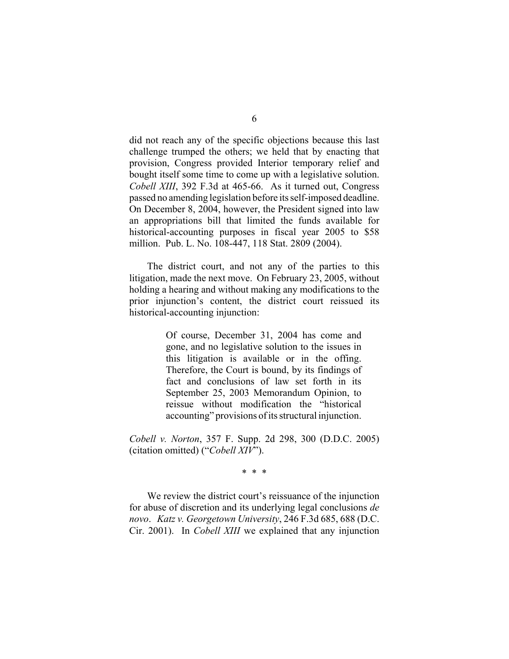did not reach any of the specific objections because this last challenge trumped the others; we held that by enacting that provision, Congress provided Interior temporary relief and bought itself some time to come up with a legislative solution. *Cobell XIII*, 392 F.3d at 465-66. As it turned out, Congress passed no amending legislation before its self-imposed deadline. On December 8, 2004, however, the President signed into law an appropriations bill that limited the funds available for historical-accounting purposes in fiscal year 2005 to \$58 million. Pub. L. No. 108-447, 118 Stat. 2809 (2004).

The district court, and not any of the parties to this litigation, made the next move. On February 23, 2005, without holding a hearing and without making any modifications to the prior injunction's content, the district court reissued its historical-accounting injunction:

> Of course, December 31, 2004 has come and gone, and no legislative solution to the issues in this litigation is available or in the offing. Therefore, the Court is bound, by its findings of fact and conclusions of law set forth in its September 25, 2003 Memorandum Opinion, to reissue without modification the "historical accounting" provisions of its structural injunction.

*Cobell v. Norton*, 357 F. Supp. 2d 298, 300 (D.D.C. 2005) (citation omitted) ("*Cobell XIV*").

\* \* \*

We review the district court's reissuance of the injunction for abuse of discretion and its underlying legal conclusions *de novo*. *Katz v. Georgetown University*, 246 F.3d 685, 688 (D.C. Cir. 2001). In *Cobell XIII* we explained that any injunction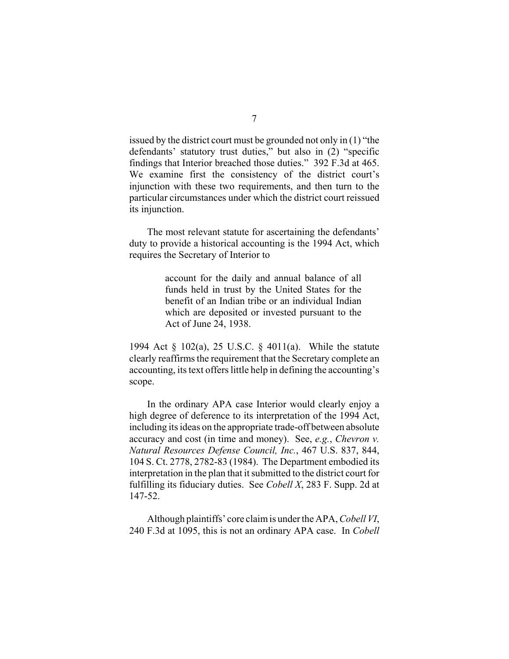issued by the district court must be grounded not only in (1) "the defendants' statutory trust duties," but also in (2) "specific findings that Interior breached those duties." 392 F.3d at 465. We examine first the consistency of the district court's injunction with these two requirements, and then turn to the particular circumstances under which the district court reissued its injunction.

The most relevant statute for ascertaining the defendants' duty to provide a historical accounting is the 1994 Act, which requires the Secretary of Interior to

> account for the daily and annual balance of all funds held in trust by the United States for the benefit of an Indian tribe or an individual Indian which are deposited or invested pursuant to the Act of June 24, 1938.

1994 Act § 102(a), 25 U.S.C. § 4011(a). While the statute clearly reaffirms the requirement that the Secretary complete an accounting, its text offers little help in defining the accounting's scope.

In the ordinary APA case Interior would clearly enjoy a high degree of deference to its interpretation of the 1994 Act, including its ideas on the appropriate trade-off between absolute accuracy and cost (in time and money). See, *e.g.*, *Chevron v. Natural Resources Defense Council, Inc.*, 467 U.S. 837, 844, 104 S. Ct. 2778, 2782-83 (1984). The Department embodied its interpretation in the plan that it submitted to the district court for fulfilling its fiduciary duties. See *Cobell X*, 283 F. Supp. 2d at 147-52.

Although plaintiffs' core claim is under the APA, *Cobell VI*, 240 F.3d at 1095, this is not an ordinary APA case. In *Cobell*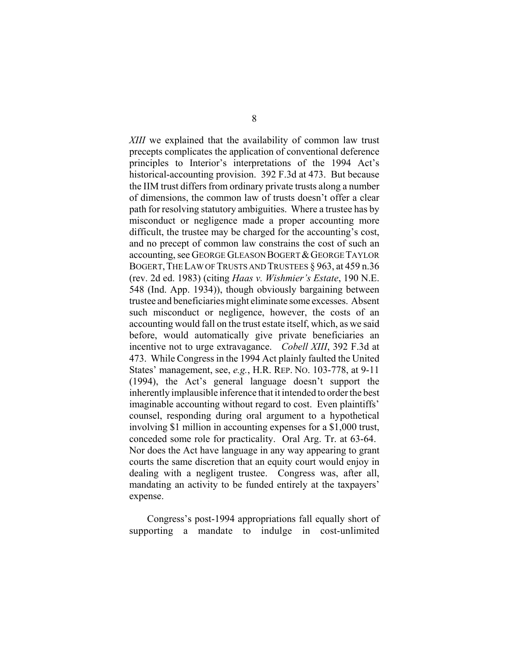*XIII* we explained that the availability of common law trust precepts complicates the application of conventional deference principles to Interior's interpretations of the 1994 Act's historical-accounting provision. 392 F.3d at 473. But because the IIM trust differs from ordinary private trusts along a number of dimensions, the common law of trusts doesn't offer a clear path for resolving statutory ambiguities. Where a trustee has by misconduct or negligence made a proper accounting more difficult, the trustee may be charged for the accounting's cost, and no precept of common law constrains the cost of such an accounting, see GEORGE GLEASON BOGERT & GEORGE TAYLOR BOGERT, THE LAW OF TRUSTS AND TRUSTEES § 963, at 459 n.36 (rev. 2d ed. 1983) (citing *Haas v. Wishmier's Estate*, 190 N.E. 548 (Ind. App. 1934)), though obviously bargaining between trustee and beneficiaries might eliminate some excesses. Absent such misconduct or negligence, however, the costs of an accounting would fall on the trust estate itself, which, as we said before, would automatically give private beneficiaries an incentive not to urge extravagance. *Cobell XIII*, 392 F.3d at 473. While Congress in the 1994 Act plainly faulted the United States' management, see, *e.g.*, H.R. REP. NO. 103-778, at 9-11 (1994), the Act's general language doesn't support the inherently implausible inference that it intended to order the best imaginable accounting without regard to cost. Even plaintiffs' counsel, responding during oral argument to a hypothetical involving \$1 million in accounting expenses for a \$1,000 trust, conceded some role for practicality. Oral Arg. Tr. at 63-64. Nor does the Act have language in any way appearing to grant courts the same discretion that an equity court would enjoy in dealing with a negligent trustee. Congress was, after all, mandating an activity to be funded entirely at the taxpayers' expense.

Congress's post-1994 appropriations fall equally short of supporting a mandate to indulge in cost-unlimited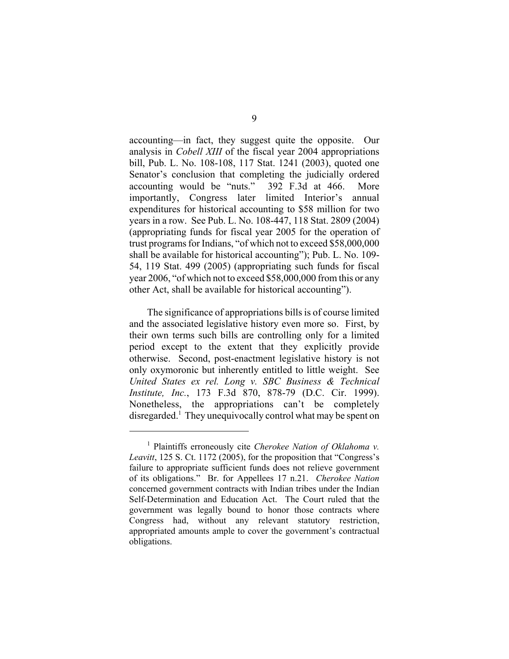accounting—in fact, they suggest quite the opposite. Our analysis in *Cobell XIII* of the fiscal year 2004 appropriations bill, Pub. L. No. 108-108, 117 Stat. 1241 (2003), quoted one Senator's conclusion that completing the judicially ordered accounting would be "nuts." 392 F.3d at 466. More importantly, Congress later limited Interior's annual expenditures for historical accounting to \$58 million for two years in a row. See Pub. L. No. 108-447, 118 Stat. 2809 (2004) (appropriating funds for fiscal year 2005 for the operation of trust programs for Indians, "of which not to exceed \$58,000,000 shall be available for historical accounting"); Pub. L. No. 109- 54, 119 Stat. 499 (2005) (appropriating such funds for fiscal year 2006, "of which not to exceed \$58,000,000 from this or any other Act, shall be available for historical accounting").

The significance of appropriations bills is of course limited and the associated legislative history even more so. First, by their own terms such bills are controlling only for a limited period except to the extent that they explicitly provide otherwise. Second, post-enactment legislative history is not only oxymoronic but inherently entitled to little weight. See *United States ex rel. Long v. SBC Business & Technical Institute, Inc.*, 173 F.3d 870, 878-79 (D.C. Cir. 1999). Nonetheless, the appropriations can't be completely disregarded.<sup>1</sup> They unequivocally control what may be spent on

<sup>1</sup> Plaintiffs erroneously cite *Cherokee Nation of Oklahoma v. Leavitt*, 125 S. Ct. 1172 (2005), for the proposition that "Congress's failure to appropriate sufficient funds does not relieve government of its obligations." Br. for Appellees 17 n.21. *Cherokee Nation* concerned government contracts with Indian tribes under the Indian Self-Determination and Education Act. The Court ruled that the government was legally bound to honor those contracts where Congress had, without any relevant statutory restriction, appropriated amounts ample to cover the government's contractual obligations.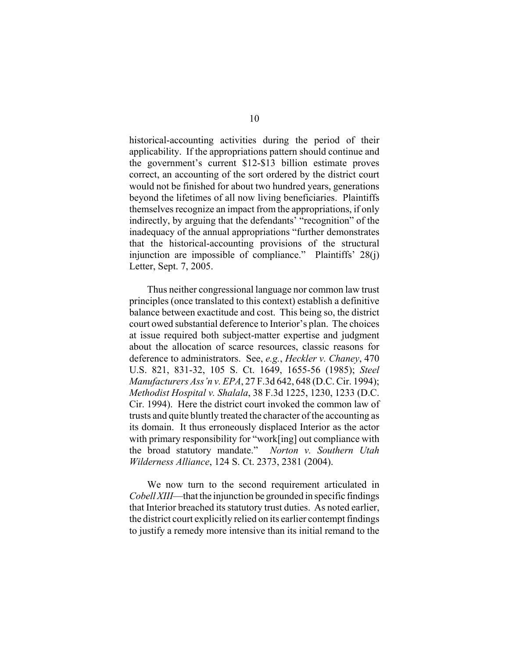historical-accounting activities during the period of their applicability. If the appropriations pattern should continue and the government's current \$12-\$13 billion estimate proves correct, an accounting of the sort ordered by the district court would not be finished for about two hundred years, generations beyond the lifetimes of all now living beneficiaries. Plaintiffs themselves recognize an impact from the appropriations, if only indirectly, by arguing that the defendants' "recognition" of the inadequacy of the annual appropriations "further demonstrates that the historical-accounting provisions of the structural injunction are impossible of compliance." Plaintiffs' 28(j) Letter, Sept. 7, 2005.

Thus neither congressional language nor common law trust principles (once translated to this context) establish a definitive balance between exactitude and cost. This being so, the district court owed substantial deference to Interior's plan. The choices at issue required both subject-matter expertise and judgment about the allocation of scarce resources, classic reasons for deference to administrators. See, *e.g.*, *Heckler v. Chaney*, 470 U.S. 821, 831-32, 105 S. Ct. 1649, 1655-56 (1985); *Steel Manufacturers Ass'n v. EPA*, 27 F.3d 642, 648 (D.C. Cir. 1994); *Methodist Hospital v. Shalala*, 38 F.3d 1225, 1230, 1233 (D.C. Cir. 1994). Here the district court invoked the common law of trusts and quite bluntly treated the character of the accounting as its domain. It thus erroneously displaced Interior as the actor with primary responsibility for "work[ing] out compliance with the broad statutory mandate." *Norton v. Southern Utah Wilderness Alliance*, 124 S. Ct. 2373, 2381 (2004).

We now turn to the second requirement articulated in *Cobell XIII*—that the injunction be grounded in specific findings that Interior breached its statutory trust duties. As noted earlier, the district court explicitly relied on its earlier contempt findings to justify a remedy more intensive than its initial remand to the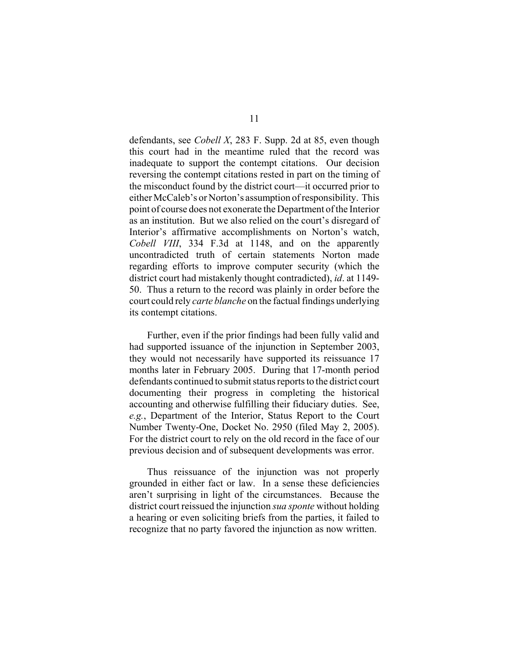defendants, see *Cobell X*, 283 F. Supp. 2d at 85, even though this court had in the meantime ruled that the record was inadequate to support the contempt citations. Our decision reversing the contempt citations rested in part on the timing of the misconduct found by the district court—it occurred prior to either McCaleb's or Norton's assumption of responsibility. This point of course does not exonerate the Department of the Interior as an institution. But we also relied on the court's disregard of Interior's affirmative accomplishments on Norton's watch, *Cobell VIII*, 334 F.3d at 1148, and on the apparently uncontradicted truth of certain statements Norton made regarding efforts to improve computer security (which the district court had mistakenly thought contradicted), *id*. at 1149- 50. Thus a return to the record was plainly in order before the court could rely *carte blanche* on the factual findings underlying its contempt citations.

Further, even if the prior findings had been fully valid and had supported issuance of the injunction in September 2003, they would not necessarily have supported its reissuance 17 months later in February 2005. During that 17-month period defendants continued to submit status reports to the district court documenting their progress in completing the historical accounting and otherwise fulfilling their fiduciary duties. See, *e.g.*, Department of the Interior, Status Report to the Court Number Twenty-One, Docket No. 2950 (filed May 2, 2005). For the district court to rely on the old record in the face of our previous decision and of subsequent developments was error.

Thus reissuance of the injunction was not properly grounded in either fact or law. In a sense these deficiencies aren't surprising in light of the circumstances. Because the district court reissued the injunction *sua sponte* without holding a hearing or even soliciting briefs from the parties, it failed to recognize that no party favored the injunction as now written.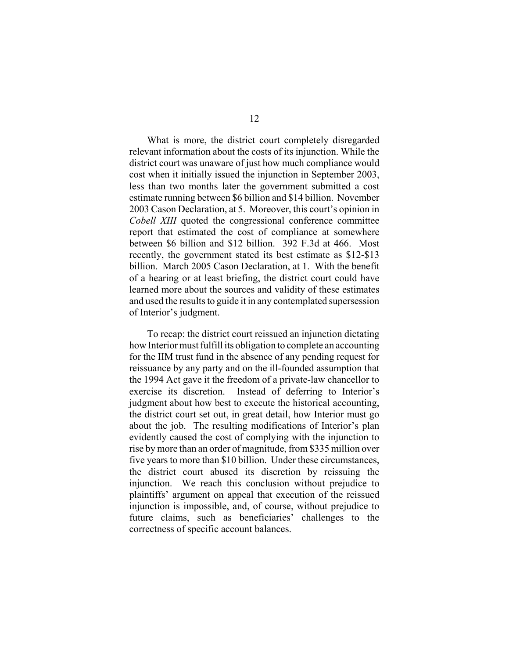What is more, the district court completely disregarded relevant information about the costs of its injunction. While the district court was unaware of just how much compliance would cost when it initially issued the injunction in September 2003, less than two months later the government submitted a cost estimate running between \$6 billion and \$14 billion. November 2003 Cason Declaration, at 5. Moreover, this court's opinion in *Cobell XIII* quoted the congressional conference committee report that estimated the cost of compliance at somewhere between \$6 billion and \$12 billion. 392 F.3d at 466. Most recently, the government stated its best estimate as \$12-\$13 billion. March 2005 Cason Declaration, at 1. With the benefit of a hearing or at least briefing, the district court could have learned more about the sources and validity of these estimates and used the results to guide it in any contemplated supersession of Interior's judgment.

To recap: the district court reissued an injunction dictating how Interior must fulfill its obligation to complete an accounting for the IIM trust fund in the absence of any pending request for reissuance by any party and on the ill-founded assumption that the 1994 Act gave it the freedom of a private-law chancellor to exercise its discretion. Instead of deferring to Interior's judgment about how best to execute the historical accounting, the district court set out, in great detail, how Interior must go about the job. The resulting modifications of Interior's plan evidently caused the cost of complying with the injunction to rise by more than an order of magnitude, from \$335 million over five years to more than \$10 billion. Under these circumstances, the district court abused its discretion by reissuing the injunction. We reach this conclusion without prejudice to plaintiffs' argument on appeal that execution of the reissued injunction is impossible, and, of course, without prejudice to future claims, such as beneficiaries' challenges to the correctness of specific account balances.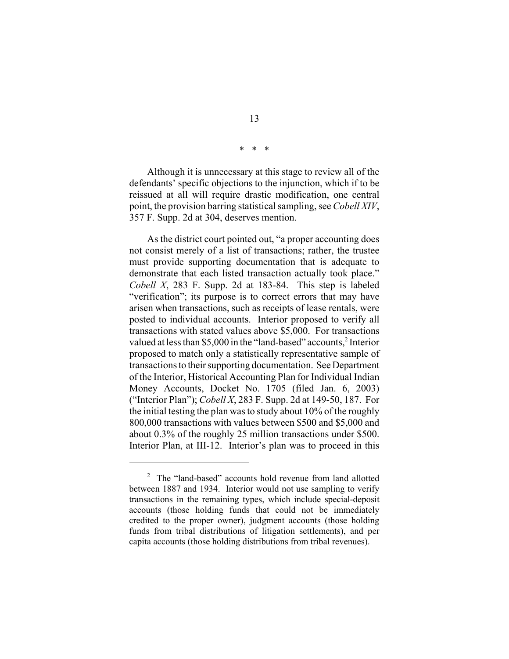\* \* \*

Although it is unnecessary at this stage to review all of the defendants' specific objections to the injunction, which if to be reissued at all will require drastic modification, one central point, the provision barring statistical sampling, see *Cobell XIV*, 357 F. Supp. 2d at 304, deserves mention.

As the district court pointed out, "a proper accounting does not consist merely of a list of transactions; rather, the trustee must provide supporting documentation that is adequate to demonstrate that each listed transaction actually took place." *Cobell X*, 283 F. Supp. 2d at 183-84. This step is labeled "verification"; its purpose is to correct errors that may have arisen when transactions, such as receipts of lease rentals, were posted to individual accounts. Interior proposed to verify all transactions with stated values above \$5,000. For transactions valued at less than \$5,000 in the "land-based" accounts,<sup>2</sup> Interior proposed to match only a statistically representative sample of transactions to their supporting documentation. See Department of the Interior, Historical Accounting Plan for Individual Indian Money Accounts, Docket No. 1705 (filed Jan. 6, 2003) ("Interior Plan"); *Cobell X*, 283 F. Supp. 2d at 149-50, 187. For the initial testing the plan was to study about 10% of the roughly 800,000 transactions with values between \$500 and \$5,000 and about 0.3% of the roughly 25 million transactions under \$500. Interior Plan, at III-12. Interior's plan was to proceed in this

<sup>&</sup>lt;sup>2</sup> The "land-based" accounts hold revenue from land allotted between 1887 and 1934. Interior would not use sampling to verify transactions in the remaining types, which include special-deposit accounts (those holding funds that could not be immediately credited to the proper owner), judgment accounts (those holding funds from tribal distributions of litigation settlements), and per capita accounts (those holding distributions from tribal revenues).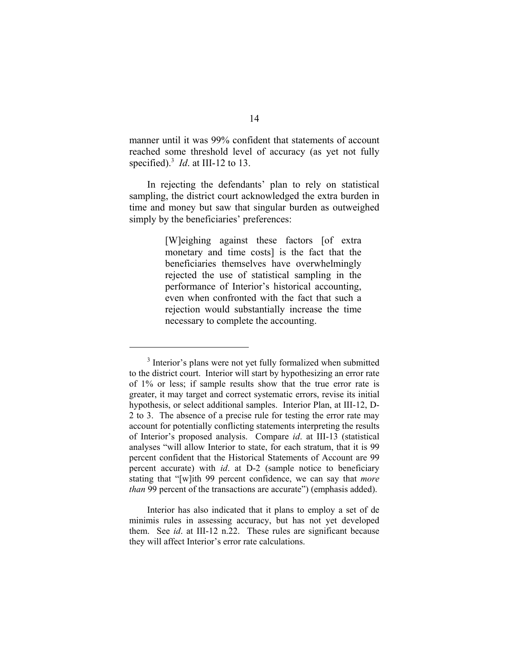manner until it was 99% confident that statements of account reached some threshold level of accuracy (as yet not fully specified).3 *Id*. at III-12 to 13.

In rejecting the defendants' plan to rely on statistical sampling, the district court acknowledged the extra burden in time and money but saw that singular burden as outweighed simply by the beneficiaries' preferences:

> [W]eighing against these factors [of extra monetary and time costs] is the fact that the beneficiaries themselves have overwhelmingly rejected the use of statistical sampling in the performance of Interior's historical accounting, even when confronted with the fact that such a rejection would substantially increase the time necessary to complete the accounting.

<sup>&</sup>lt;sup>3</sup> Interior's plans were not yet fully formalized when submitted to the district court. Interior will start by hypothesizing an error rate of 1% or less; if sample results show that the true error rate is greater, it may target and correct systematic errors, revise its initial hypothesis, or select additional samples. Interior Plan, at III-12, D-2 to 3. The absence of a precise rule for testing the error rate may account for potentially conflicting statements interpreting the results of Interior's proposed analysis. Compare *id*. at III-13 (statistical analyses "will allow Interior to state, for each stratum, that it is 99 percent confident that the Historical Statements of Account are 99 percent accurate) with *id*. at D-2 (sample notice to beneficiary stating that "[w]ith 99 percent confidence, we can say that *more than* 99 percent of the transactions are accurate") (emphasis added).

Interior has also indicated that it plans to employ a set of de minimis rules in assessing accuracy, but has not yet developed them. See *id*. at III-12 n.22. These rules are significant because they will affect Interior's error rate calculations.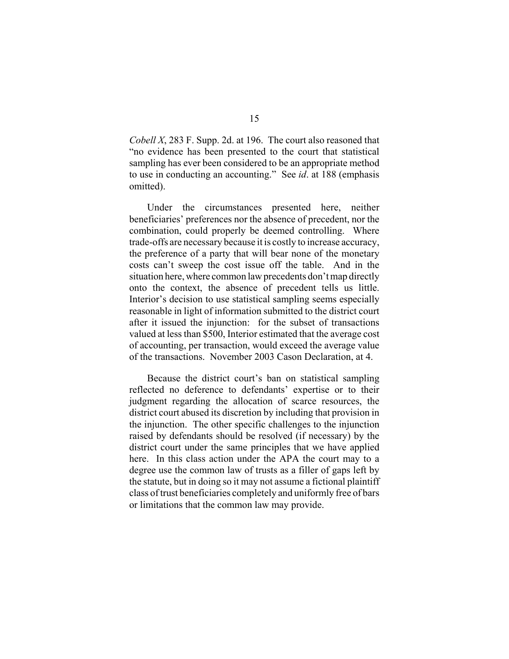*Cobell X*, 283 F. Supp. 2d. at 196. The court also reasoned that "no evidence has been presented to the court that statistical sampling has ever been considered to be an appropriate method to use in conducting an accounting." See *id*. at 188 (emphasis omitted).

Under the circumstances presented here, neither beneficiaries' preferences nor the absence of precedent, nor the combination, could properly be deemed controlling. Where trade-offs are necessary because it is costly to increase accuracy, the preference of a party that will bear none of the monetary costs can't sweep the cost issue off the table. And in the situation here, where common law precedents don't map directly onto the context, the absence of precedent tells us little. Interior's decision to use statistical sampling seems especially reasonable in light of information submitted to the district court after it issued the injunction: for the subset of transactions valued at less than \$500, Interior estimated that the average cost of accounting, per transaction, would exceed the average value of the transactions. November 2003 Cason Declaration, at 4.

Because the district court's ban on statistical sampling reflected no deference to defendants' expertise or to their judgment regarding the allocation of scarce resources, the district court abused its discretion by including that provision in the injunction. The other specific challenges to the injunction raised by defendants should be resolved (if necessary) by the district court under the same principles that we have applied here. In this class action under the APA the court may to a degree use the common law of trusts as a filler of gaps left by the statute, but in doing so it may not assume a fictional plaintiff class of trust beneficiaries completely and uniformly free of bars or limitations that the common law may provide.